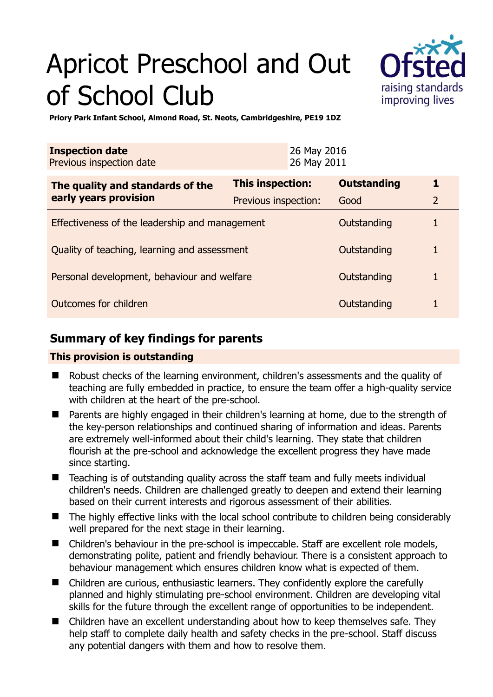# Apricot Preschool and Out of School Club



**Priory Park Infant School, Almond Road, St. Neots, Cambridgeshire, PE19 1DZ** 

| <b>Inspection date</b><br>Previous inspection date        | 26 May 2016<br>26 May 2011 |                    |                |
|-----------------------------------------------------------|----------------------------|--------------------|----------------|
| The quality and standards of the<br>early years provision | This inspection:           | <b>Outstanding</b> | 1              |
|                                                           | Previous inspection:       | Good               | $\overline{2}$ |
| Effectiveness of the leadership and management            |                            | Outstanding        |                |
| Quality of teaching, learning and assessment              |                            | Outstanding        | 1              |
| Personal development, behaviour and welfare               |                            | Outstanding        |                |
| Outcomes for children                                     |                            | Outstanding        |                |

## **Summary of key findings for parents**

## **This provision is outstanding**

- Robust checks of the learning environment, children's assessments and the quality of teaching are fully embedded in practice, to ensure the team offer a high-quality service with children at the heart of the pre-school.
- Parents are highly engaged in their children's learning at home, due to the strength of the key-person relationships and continued sharing of information and ideas. Parents are extremely well-informed about their child's learning. They state that children flourish at the pre-school and acknowledge the excellent progress they have made since starting.
- Teaching is of outstanding quality across the staff team and fully meets individual children's needs. Children are challenged greatly to deepen and extend their learning based on their current interests and rigorous assessment of their abilities.
- The highly effective links with the local school contribute to children being considerably well prepared for the next stage in their learning.
- Children's behaviour in the pre-school is impeccable. Staff are excellent role models, demonstrating polite, patient and friendly behaviour. There is a consistent approach to behaviour management which ensures children know what is expected of them.
- Children are curious, enthusiastic learners. They confidently explore the carefully planned and highly stimulating pre-school environment. Children are developing vital skills for the future through the excellent range of opportunities to be independent.
- Children have an excellent understanding about how to keep themselves safe. They help staff to complete daily health and safety checks in the pre-school. Staff discuss any potential dangers with them and how to resolve them.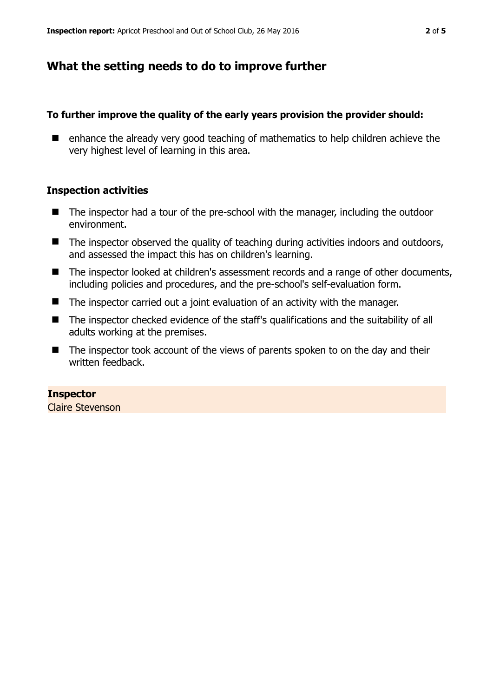## **What the setting needs to do to improve further**

#### **To further improve the quality of the early years provision the provider should:**

■ enhance the already very good teaching of mathematics to help children achieve the very highest level of learning in this area.

#### **Inspection activities**

- The inspector had a tour of the pre-school with the manager, including the outdoor environment.
- The inspector observed the quality of teaching during activities indoors and outdoors, and assessed the impact this has on children's learning.
- The inspector looked at children's assessment records and a range of other documents, including policies and procedures, and the pre-school's self-evaluation form.
- The inspector carried out a joint evaluation of an activity with the manager.
- The inspector checked evidence of the staff's qualifications and the suitability of all adults working at the premises.
- The inspector took account of the views of parents spoken to on the day and their written feedback.

#### **Inspector**

Claire Stevenson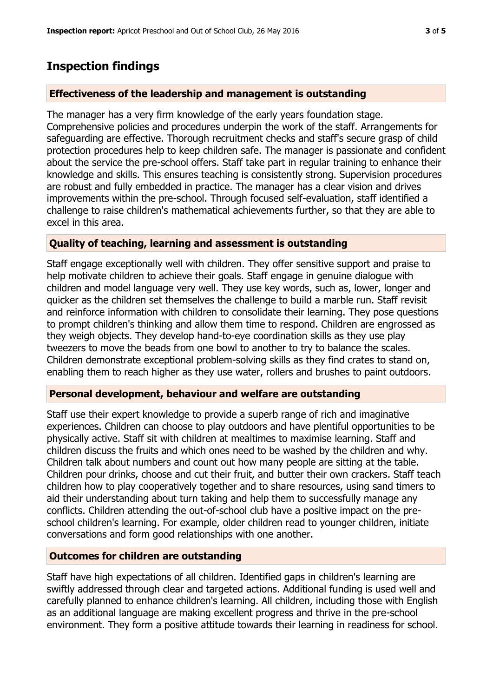## **Inspection findings**

## **Effectiveness of the leadership and management is outstanding**

The manager has a very firm knowledge of the early years foundation stage. Comprehensive policies and procedures underpin the work of the staff. Arrangements for safeguarding are effective. Thorough recruitment checks and staff's secure grasp of child protection procedures help to keep children safe. The manager is passionate and confident about the service the pre-school offers. Staff take part in regular training to enhance their knowledge and skills. This ensures teaching is consistently strong. Supervision procedures are robust and fully embedded in practice. The manager has a clear vision and drives improvements within the pre-school. Through focused self-evaluation, staff identified a challenge to raise children's mathematical achievements further, so that they are able to excel in this area.

## **Quality of teaching, learning and assessment is outstanding**

Staff engage exceptionally well with children. They offer sensitive support and praise to help motivate children to achieve their goals. Staff engage in genuine dialogue with children and model language very well. They use key words, such as, lower, longer and quicker as the children set themselves the challenge to build a marble run. Staff revisit and reinforce information with children to consolidate their learning. They pose questions to prompt children's thinking and allow them time to respond. Children are engrossed as they weigh objects. They develop hand-to-eye coordination skills as they use play tweezers to move the beads from one bowl to another to try to balance the scales. Children demonstrate exceptional problem-solving skills as they find crates to stand on, enabling them to reach higher as they use water, rollers and brushes to paint outdoors.

## **Personal development, behaviour and welfare are outstanding**

Staff use their expert knowledge to provide a superb range of rich and imaginative experiences. Children can choose to play outdoors and have plentiful opportunities to be physically active. Staff sit with children at mealtimes to maximise learning. Staff and children discuss the fruits and which ones need to be washed by the children and why. Children talk about numbers and count out how many people are sitting at the table. Children pour drinks, choose and cut their fruit, and butter their own crackers. Staff teach children how to play cooperatively together and to share resources, using sand timers to aid their understanding about turn taking and help them to successfully manage any conflicts. Children attending the out-of-school club have a positive impact on the preschool children's learning. For example, older children read to younger children, initiate conversations and form good relationships with one another.

## **Outcomes for children are outstanding**

Staff have high expectations of all children. Identified gaps in children's learning are swiftly addressed through clear and targeted actions. Additional funding is used well and carefully planned to enhance children's learning. All children, including those with English as an additional language are making excellent progress and thrive in the pre-school environment. They form a positive attitude towards their learning in readiness for school.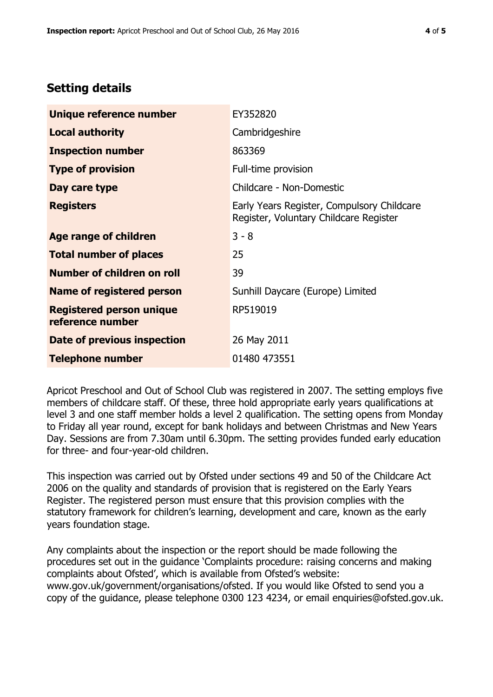## **Setting details**

| Unique reference number                             | EY352820                                                                             |  |
|-----------------------------------------------------|--------------------------------------------------------------------------------------|--|
| <b>Local authority</b>                              | Cambridgeshire                                                                       |  |
| <b>Inspection number</b>                            | 863369                                                                               |  |
| <b>Type of provision</b>                            | Full-time provision                                                                  |  |
| Day care type                                       | Childcare - Non-Domestic                                                             |  |
| <b>Registers</b>                                    | Early Years Register, Compulsory Childcare<br>Register, Voluntary Childcare Register |  |
| Age range of children                               | $3 - 8$                                                                              |  |
| <b>Total number of places</b>                       | 25                                                                                   |  |
| Number of children on roll                          | 39                                                                                   |  |
| Name of registered person                           | Sunhill Daycare (Europe) Limited                                                     |  |
| <b>Registered person unique</b><br>reference number | RP519019                                                                             |  |
| Date of previous inspection                         | 26 May 2011                                                                          |  |
| <b>Telephone number</b>                             | 01480 473551                                                                         |  |

Apricot Preschool and Out of School Club was registered in 2007. The setting employs five members of childcare staff. Of these, three hold appropriate early years qualifications at level 3 and one staff member holds a level 2 qualification. The setting opens from Monday to Friday all year round, except for bank holidays and between Christmas and New Years Day. Sessions are from 7.30am until 6.30pm. The setting provides funded early education for three- and four-year-old children.

This inspection was carried out by Ofsted under sections 49 and 50 of the Childcare Act 2006 on the quality and standards of provision that is registered on the Early Years Register. The registered person must ensure that this provision complies with the statutory framework for children's learning, development and care, known as the early years foundation stage.

Any complaints about the inspection or the report should be made following the procedures set out in the guidance 'Complaints procedure: raising concerns and making complaints about Ofsted', which is available from Ofsted's website: www.gov.uk/government/organisations/ofsted. If you would like Ofsted to send you a copy of the guidance, please telephone 0300 123 4234, or email enquiries@ofsted.gov.uk.